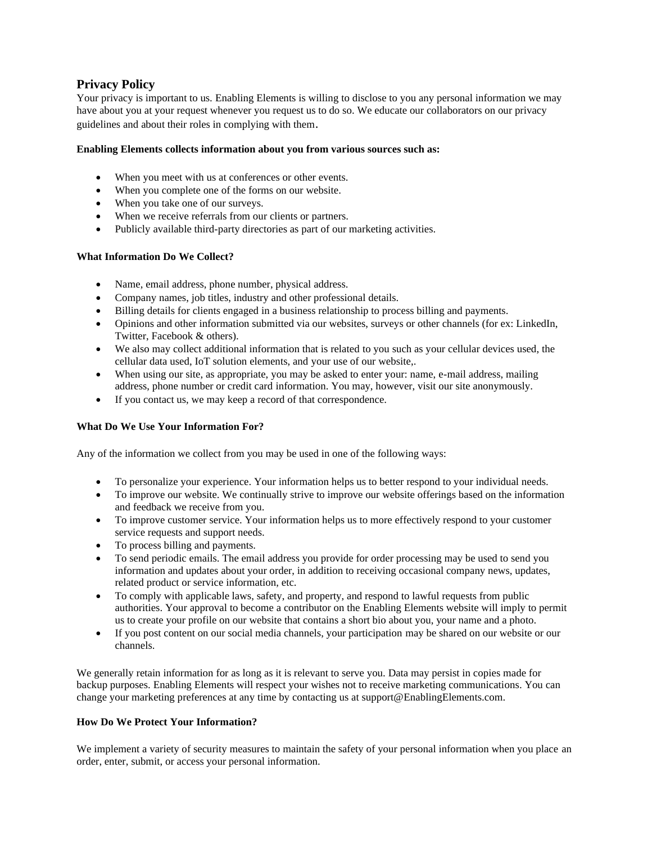# **Privacy Policy**

Your privacy is important to us. Enabling Elements is willing to disclose to you any personal information we may have about you at your request whenever you request us to do so. We educate our collaborators on our privacy guidelines and about their roles in complying with them.

## **Enabling Elements collects information about you from various sources such as:**

- When you meet with us at conferences or other events.
- When you complete one of the forms on our website.
- When you take one of our surveys.
- When we receive referrals from our clients or partners.
- Publicly available third-party directories as part of our marketing activities.

## **What Information Do We Collect?**

- Name, email address, phone number, physical address.
- Company names, job titles, industry and other professional details.
- Billing details for clients engaged in a business relationship to process billing and payments.
- Opinions and other information submitted via our websites, surveys or other channels (for ex: LinkedIn, Twitter, Facebook & others).
- We also may collect additional information that is related to you such as your cellular devices used, the cellular data used, IoT solution elements, and your use of our website,.
- When using our site, as appropriate, you may be asked to enter your: name, e-mail address, mailing address, phone number or credit card information. You may, however, visit our site anonymously.
- If you contact us, we may keep a record of that correspondence.

## **What Do We Use Your Information For?**

Any of the information we collect from you may be used in one of the following ways:

- To personalize your experience. Your information helps us to better respond to your individual needs.
- To improve our website. We continually strive to improve our website offerings based on the information and feedback we receive from you.
- To improve customer service. Your information helps us to more effectively respond to your customer service requests and support needs.
- To process billing and payments.
- To send periodic emails. The email address you provide for order processing may be used to send you information and updates about your order, in addition to receiving occasional company news, updates, related product or service information, etc.
- To comply with applicable laws, safety, and property, and respond to lawful requests from public authorities. Your approval to become a contributor on the Enabling Elements website will imply to permit us to create your profile on our website that contains a short bio about you, your name and a photo.
- If you post content on our social media channels, your participation may be shared on our website or our channels.

We generally retain information for as long as it is relevant to serve you. Data may persist in copies made for backup purposes. Enabling Elements will respect your wishes not to receive marketing communications. You can change your marketing preferences at any time by contacting us at support@EnablingElements.com.

## **How Do We Protect Your Information?**

We implement a variety of security measures to maintain the safety of your personal information when you place an order, enter, submit, or access your personal information.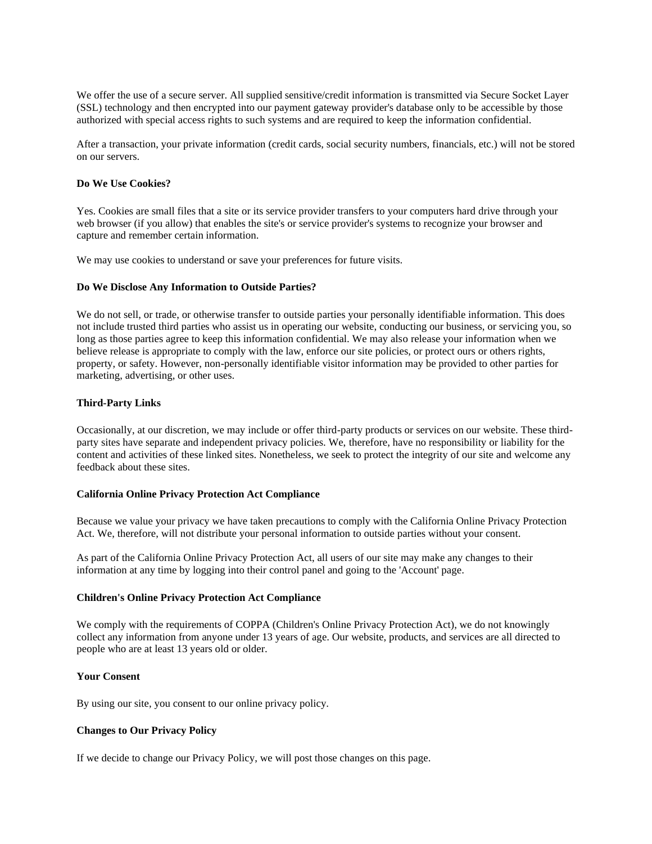We offer the use of a secure server. All supplied sensitive/credit information is transmitted via Secure Socket Layer (SSL) technology and then encrypted into our payment gateway provider's database only to be accessible by those authorized with special access rights to such systems and are required to keep the information confidential.

After a transaction, your private information (credit cards, social security numbers, financials, etc.) will not be stored on our servers.

#### **Do We Use Cookies?**

Yes. Cookies are small files that a site or its service provider transfers to your computers hard drive through your web browser (if you allow) that enables the site's or service provider's systems to recognize your browser and capture and remember certain information.

We may use cookies to understand or save your preferences for future visits.

### **Do We Disclose Any Information to Outside Parties?**

We do not sell, or trade, or otherwise transfer to outside parties your personally identifiable information. This does not include trusted third parties who assist us in operating our website, conducting our business, or servicing you, so long as those parties agree to keep this information confidential. We may also release your information when we believe release is appropriate to comply with the law, enforce our site policies, or protect ours or others rights, property, or safety. However, non-personally identifiable visitor information may be provided to other parties for marketing, advertising, or other uses.

#### **Third-Party Links**

Occasionally, at our discretion, we may include or offer third-party products or services on our website. These thirdparty sites have separate and independent privacy policies. We, therefore, have no responsibility or liability for the content and activities of these linked sites. Nonetheless, we seek to protect the integrity of our site and welcome any feedback about these sites.

### **California Online Privacy Protection Act Compliance**

Because we value your privacy we have taken precautions to comply with the California Online Privacy Protection Act. We, therefore, will not distribute your personal information to outside parties without your consent.

As part of the California Online Privacy Protection Act, all users of our site may make any changes to their information at any time by logging into their control panel and going to the 'Account' page.

#### **Children's Online Privacy Protection Act Compliance**

We comply with the requirements of COPPA (Children's Online Privacy Protection Act), we do not knowingly collect any information from anyone under 13 years of age. Our website, products, and services are all directed to people who are at least 13 years old or older.

## **Your Consent**

By using our site, you consent to our online privacy policy.

## **Changes to Our Privacy Policy**

If we decide to change our Privacy Policy, we will post those changes on this page.